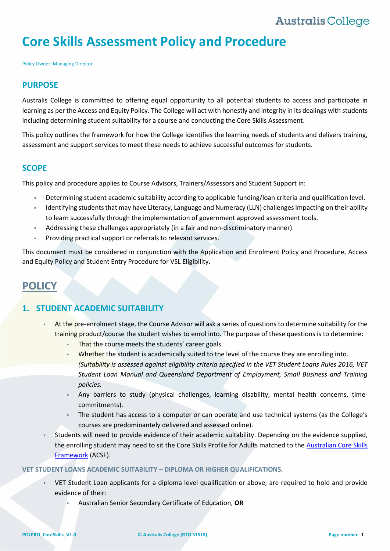# **Core Skills Assessment Policy and Procedure**

Policy Owner: Managing Director

#### **PURPOSE**

Australis College is committed to offering equal opportunity to all potential students to access and participate in learning as per the Access and Equity Policy. The College will act with honestly and integrity in its dealings with students including determining student suitability for a course and conducting the Core Skills Assessment.

This policy outlines the framework for how the College identifies the learning needs of students and delivers training, assessment and support services to meet these needs to achieve successful outcomes for students.

#### **SCOPE**

This policy and procedure applies to Course Advisors, Trainers/Assessors and Student Support in:

- Determining student academic suitability according to applicable funding/loan criteria and qualification level.
- Identifying students that may have Literacy, Language and Numeracy (LLN) challenges impacting on their ability to learn successfully through the implementation of government approved assessment tools.
- Addressing these challenges appropriately (in a fair and non-discriminatory manner).
- Providing practical support or referrals to relevant services.

This document must be considered in conjunction with the Application and Enrolment Policy and Procedure, Access and Equity Policy and Student Entry Procedure for VSL Eligibility.

## **POLICY**

### **1. STUDENT ACADEMIC SUITABILITY**

- At the pre-enrolment stage, the Course Advisor will ask a series of questions to determine suitability for the training product/course the student wishes to enrol into. The purpose of these questions is to determine:
	- That the course meets the students' career goals.
	- Whether the student is academically suited to the level of the course they are enrolling into. *(Suitability is assessed against eligibility criteria specified in the VET Student Loans Rules 2016, VET Student Loan Manual and Queensland Department of Employment, Small Business and Training policies.*
	- Any barriers to study (physical challenges, learning disability, mental health concerns, timecommitments).
	- The student has access to a computer or can operate and use technical systems (as the College's courses are predominantely delivered and assessed online).
- Students will need to provide evidence of their academic suitability. Depending on the evidence supplied, the enrolling student may need to sit the Core Skills Profile for Adults matched to the [Australian Core Skills](https://www.education.gov.au/australian-core-skills-framework)  [Framework](https://www.education.gov.au/australian-core-skills-framework) (ACSF).

#### **VET STUDENT LOANS ACADEMIC SUITABILITY – DIPLOMA OR HIGHER QUALIFICATIONS.**

- VET Student Loan applicants for a diploma level qualification or above, are required to hold and provide evidence of their:
	- Australian Senior Secondary Certificate of Education, **OR**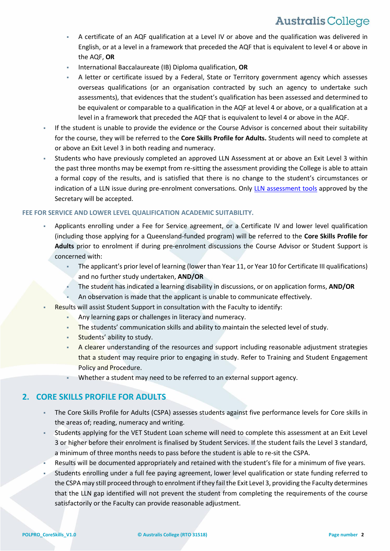- A certificate of an AQF qualification at a Level IV or above and the qualification was delivered in English, or at a level in a framework that preceded the AQF that is equivalent to level 4 or above in the AQF, **OR**
- International Baccalaureate (IB) Diploma qualification, **OR**
- A letter or certificate issued by a Federal, State or Territory government agency which assesses overseas qualifications (or an organisation contracted by such an agency to undertake such assessments), that evidences that the student's qualification has been assessed and determined to be equivalent or comparable to a qualification in the AQF at level 4 or above, or a qualification at a level in a framework that preceded the AQF that is equivalent to level 4 or above in the AQF.
- If the student is unable to provide the evidence or the Course Advisor is concerned about their suitability for the course, they will be referred to the **Core Skills Profile for Adults.** Students will need to complete at or above an Exit Level 3 in both reading and numeracy.
- Students who have previously completed an approved LLN Assessment at or above an Exit Level 3 within the past three months may be exempt from re-sitting the assessment providing the College is able to attain a formal copy of the results, and is satisfied that there is no change to the student's circumstances or indication of a LLN issue during pre-enrolment conversations. Only [LLN assessment tools](#page-8-0) approved by the Secretary will be accepted.

#### **FEE FOR SERVICE AND LOWER LEVEL QUALIFICATION ACADEMIC SUITABILITY.**

- Applicants enrolling under a Fee for Service agreement, or a Certificate IV and lower level qualification (including those applying for a Queensland-funded program) will be referred to the **Core Skills Profile for Adults** prior to enrolment if during pre-enrolment discussions the Course Advisor or Student Support is concerned with:
	- The applicant's prior level of learning (lower than Year 11, or Year 10 for Certificate III qualifications) and no further study undertaken, **AND/OR**
	- The student has indicated a learning disability in discussions, or on application forms, **AND/OR**
	- An observation is made that the applicant is unable to communicate effectively.
- Results will assist Student Support in consultation with the Faculty to identify:
	- Any learning gaps or challenges in literacy and numeracy.
	- The students' communication skills and ability to maintain the selected level of study.
	- Students' ability to study.
	- A clearer understanding of the resources and support including reasonable adjustment strategies that a student may require prior to engaging in study. Refer to Training and Student Engagement Policy and Procedure.
	- Whether a student may need to be referred to an external support agency.

### **2. CORE SKILLS PROFILE FOR ADULTS**

- The Core Skills Profile for Adults (CSPA) assesses students against five performance levels for Core skills in the areas of; reading, numeracy and writing.
- Students applying for the VET Student Loan scheme will need to complete this assessment at an Exit Level 3 or higher before their enrolment is finalised by Student Services. If the student fails the Level 3 standard, a minimum of three months needs to pass before the student is able to re-sit the CSPA.
- Results will be documented appropriately and retained with the student's file for a minimum of five years.
- Students enrolling under a full fee paying agreement, lower level qualification or state funding referred to the CSPA may still proceed through to enrolment if they fail the Exit Level 3, providing the Faculty determines that the LLN gap identified will not prevent the student from completing the requirements of the course satisfactorily or the Faculty can provide reasonable adjustment.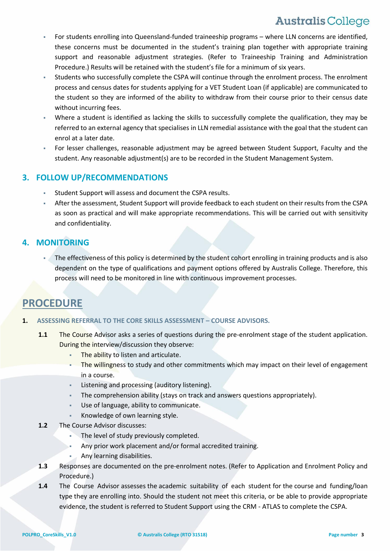- For students enrolling into Queensland-funded traineeship programs where LLN concerns are identified, these concerns must be documented in the student's training plan together with appropriate training support and reasonable adjustment strategies. (Refer to Traineeship Training and Administration Procedure.) Results will be retained with the student's file for a minimum of six years.
- Students who successfully complete the CSPA will continue through the enrolment process. The enrolment process and census dates for students applying for a VET Student Loan (if applicable) are communicated to the student so they are informed of the ability to withdraw from their course prior to their census date without incurring fees.
- Where a student is identified as lacking the skills to successfully complete the qualification, they may be referred to an external agency that specialises in LLN remedial assistance with the goal that the student can enrol at a later date.
- For lesser challenges, reasonable adjustment may be agreed between Student Support, Faculty and the student. Any reasonable adjustment(s) are to be recorded in the Student Management System.

### **3. FOLLOW UP/RECOMMENDATIONS**

- Student Support will assess and document the CSPA results.
- After the assessment, Student Support will provide feedback to each student on their results from the CSPA as soon as practical and will make appropriate recommendations. This will be carried out with sensitivity and confidentiality.

### **4. MONITORING**

 The effectiveness of this policy is determined by the student cohort enrolling in training products and is also dependent on the type of qualifications and payment options offered by Australis College. Therefore, this process will need to be monitored in line with continuous improvement processes.

## **PROCEDURE**

#### **1. ASSESSING REFERRAL TO THE CORE SKILLS ASSESSMENT – COURSE ADVISORS.**

- **1.1** The Course Advisor asks a series of questions during the pre-enrolment stage of the student application. During the interview/discussion they observe:
	- The ability to listen and articulate.
	- The willingness to study and other commitments which may impact on their level of engagement in a course.
	- Listening and processing (auditory listening).
	- The comprehension ability (stays on track and answers questions appropriately).
	- Use of language, ability to communicate.
	- Knowledge of own learning style.
- **1.2** The Course Advisor discusses:
	- The level of study previously completed.
	- Any prior work placement and/or formal accredited training.
	- Any learning disabilities.
- **1.3** Responses are documented on the pre-enrolment notes. (Refer to Application and Enrolment Policy and Procedure.)
- **1.4** The Course Advisor assesses the academic suitability of each student for the course and funding/loan type they are enrolling into. Should the student not meet this criteria, or be able to provide appropriate evidence, the student is referred to Student Support using the CRM - ATLAS to complete the CSPA.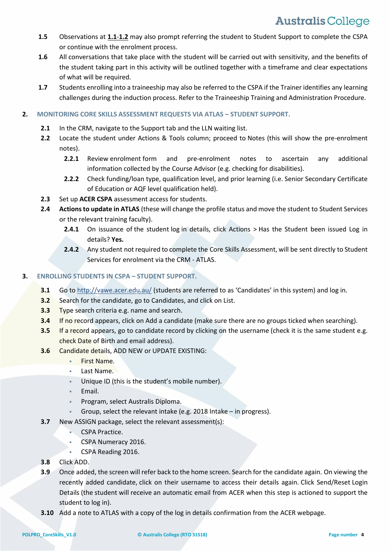- **1.5** Observations at **1.1**-**1.2** may also prompt referring the student to Student Support to complete the CSPA or continue with the enrolment process.
- **1.6** All conversations that take place with the student will be carried out with sensitivity, and the benefits of the student taking part in this activity will be outlined together with a timeframe and clear expectations of what will be required.
- **1.7** Students enrolling into a traineeship may also be referred to the CSPA if the Trainer identifies any learning challenges during the induction process. Refer to the Traineeship Training and Administration Procedure.

#### **2. MONITORING CORE SKILLS ASSESSMENT REQUESTS VIA ATLAS – STUDENT SUPPORT.**

- **2.1** In the CRM, navigate to the Support tab and the LLN waiting list.
- **2.2** Locate the student under Actions & Tools column; proceed to Notes (this will show the pre-enrolment notes).
	- **2.2.1** Review enrolment form and pre-enrolment notes to ascertain any additional information collected by the Course Advisor (e.g. checking for disabilities).
	- **2.2.2** Check funding/loan type, qualification level, and prior learning (i.e. Senior Secondary Certificate of Education or AQF level qualification held).
- **2.3** Set up **ACER CSPA** assessment access for students.
- **2.4 Actions to update in ATLAS** (these will change the profile status and move the student to Student Services or the relevant training faculty).
	- **2.4.1** On issuance of the student log in details, click Actions > Has the Student been issued Log in details? **Yes.**
	- 2.4.2 Any student not required to complete the Core Skills Assessment, will be sent directly to Student Services for enrolment via the CRM - ATLAS.

#### **3. ENROLLING STUDENTS IN CSPA – STUDENT SUPPORT.**

- **3.1** Go to <http://vawe.acer.edu.au/> (students are referred to as 'Candidates' in this system) and log in.
- **3.2** Search for the candidate, go to Candidates, and click on List.
- **3.3** Type search criteria e.g. name and search.
- **3.4** If no record appears, click on Add a candidate (make sure there are no groups ticked when searching).
- **3.5** If a record appears, go to candidate record by clicking on the username (check it is the same student e.g. check Date of Birth and email address).
- **3.6** Candidate details, ADD NEW or UPDATE EXISTING:
	- **First Name.**
	- Last Name.
	- Unique ID (this is the student's mobile number).
	- Email.
	- **Program, select Australis Diploma.**
	- Group, select the relevant intake (e.g. 2018 Intake in progress).
- **3.7** New ASSIGN package, select the relevant assessment(s):
	- CSPA Practice.
	- CSPA Numeracy 2016.
	- CSPA Reading 2016.
- **3.8** Click ADD.
- **3.9** Once added, the screen will refer back to the home screen. Search for the candidate again. On viewing the recently added candidate, click on their username to access their details again. Click Send/Reset Login Details (the student will receive an automatic email from ACER when this step is actioned to support the student to log in).
- **3.10** Add a note to ATLAS with a copy of the log in details confirmation from the ACER webpage.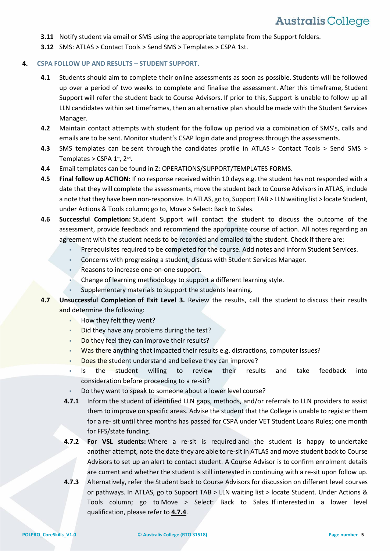- **3.11** Notify student via email or SMS using the appropriate template from the Support folders.
- **3.12** SMS: ATLAS > Contact Tools > Send SMS > Templates > CSPA 1st.

#### **4. CSPA FOLLOW UP AND RESULTS – STUDENT SUPPORT.**

- **4.1** Students should aim to complete their online assessments as soon as possible. Students will be followed up over a period of two weeks to complete and finalise the assessment. After this timeframe, Student Support will refer the student back to Course Advisors. If prior to this, Support is unable to follow up all LLN candidates within set timeframes, then an alternative plan should be made with the Student Services Manager.
- **4.2** Maintain contact attempts with student for the follow up period via a combination of SMS's, calls and emails are to be sent. Monitor student's CSAP login date and progress through the assessments.
- **4.3** SMS templates can be sent through the candidates profile in ATLAS > Contact Tools > Send SMS > Templates > CSPA  $1$ <sup>st</sup>,  $2^{\text{nd}}$ .
- **4.4** Email templates can be found in Z: OPERATIONS/SUPPORT/TEMPLATES FORMS.
- **4.5 Final follow up ACTION:** If no response received within 10 days e.g. the student has not responded with a date that they will complete the assessments, move the student back to Course Advisors in ATLAS, include a note that they have been non-responsive. In ATLAS, go to, Support TAB > LLN waiting list > locate Student, under Actions & Tools column; go to, Move > Select: Back to Sales.
- **4.6 Successful Completion:** Student Support will contact the student to discuss the outcome of the assessment, provide feedback and recommend the appropriate course of action. All notes regarding an agreement with the student needs to be recorded and emailed to the student. Check if there are:
	- Prerequisites required to be completed for the course. Add notes and inform Student Services.
	- Concerns with progressing a student, discuss with Student Services Manager.
	- **Reasons to increase one-on-one support.**
	- Change of learning methodology to support a different learning style.
	- Supplementary materials to support the students learning.
- **4.7 Unsuccessful Completion of Exit Level 3.** Review the results, call the student to discuss their results and determine the following:
	- **How they felt they went?**
	- Did they have any problems during the test?
	- Do they feel they can improve their results?
	- Was there anything that impacted their results e.g. distractions, computer issues?
	- Does the student understand and believe they can improve?
	- Is the student willing to review their results and take feedback into consideration before proceeding to a re-sit?
	- Do they want to speak to someone about a lower level course?
	- **4.7.1** Inform the student of identified LLN gaps, methods, and/or referrals to LLN providers to assist them to improve on specific areas. Advise the student that the College is unable to register them for a re- sit until three months has passed for CSPA under VET Student Loans Rules; one month for FFS/state funding.
	- **4.7.2 For VSL students:** Where a re-sit is required and the student is happy to undertake another attempt, note the date they are able to re-sit in ATLAS and move student back to Course Advisors to set up an alert to contact student. A Course Advisor is to confirm enrolment details are current and whether the student is still interested in continuing with a re-sit upon follow up.
	- **4.7.3** Alternatively, refer the Student back to Course Advisors for discussion on different level courses or pathways. In ATLAS, go to Support TAB > LLN waiting list > locate Student. Under Actions & Tools column; go to Move > Select: Back to Sales. If interested in a lower level qualification, please refer to **4.7.4**.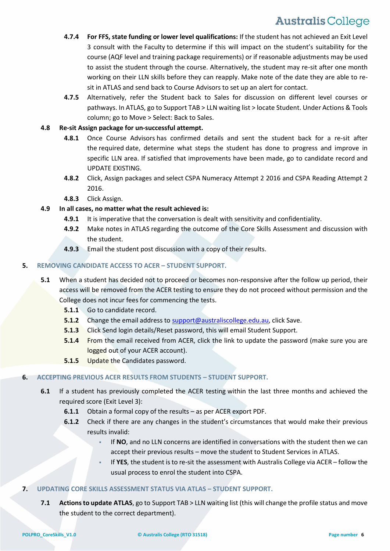- **4.7.4 For FFS, state funding or lower level qualifications:** If the student has not achieved an Exit Level 3 consult with the Faculty to determine if this will impact on the student's suitability for the course (AQF level and training package requirements) or if reasonable adjustments may be used to assist the student through the course. Alternatively, the student may re-sit after one month working on their LLN skills before they can reapply. Make note of the date they are able to resit in ATLAS and send back to Course Advisors to set up an alert for contact.
- **4.7.5** Alternatively, refer the Student back to Sales for discussion on different level courses or pathways. In ATLAS, go to Support TAB > LLN waiting list > locate Student. Under Actions & Tools column; go to Move > Select: Back to Sales.

#### **4.8 Re-sit Assign package for un-successful attempt.**

- **4.8.1** Once Course Advisors has confirmed details and sent the student back for a re-sit after the required date, determine what steps the student has done to progress and improve in specific LLN area. If satisfied that improvements have been made, go to candidate record and UPDATE EXISTING.
- **4.8.2** Click, Assign packages and select CSPA Numeracy Attempt 2 2016 and CSPA Reading Attempt 2 2016.
- **4.8.3** Click Assign.

#### **4.9 In all cases, no matter what the result achieved is:**

- **4.9.1** It is imperative that the conversation is dealt with sensitivity and confidentiality.
- **4.9.2** Make notes in ATLAS regarding the outcome of the Core Skills Assessment and discussion with the student.
- **4.9.3** Email the student post discussion with a copy of their results.

#### **5. REMOVING CANDIDATE ACCESS TO ACER – STUDENT SUPPORT.**

- **5.1** When a student has decided not to proceed or becomes non-responsive after the follow up period, their access will be removed from the ACER testing to ensure they do not proceed without permission and the College does not incur fees for commencing the tests.
	- **5.1.1** Go to candidate record.
	- **5.1.2** Change the email address to [support@australiscollege.edu.au,](mailto:support@australiscollege.edu.au) click Save.
	- **5.1.3** Click Send login details/Reset password, this will email Student Support.
	- **5.1.4** From the email received from ACER, click the link to update the password (make sure you are logged out of your ACER account).
	- **5.1.5** Update the Candidates password.

#### **6. ACCEPTING PREVIOUS ACER RESULTS FROM STUDENTS – STUDENT SUPPORT.**

- **6.1** If a student has previously completed the ACER testing within the last three months and achieved the required score (Exit Level 3):
	- **6.1.1** Obtain a formal copy of the results as per ACER export PDF.
	- **6.1.2** Check if there are any changes in the student's circumstances that would make their previous results invalid:
		- If **NO**, and no LLN concerns are identified in conversations with the student then we can accept their previous results – move the student to Student Services in ATLAS.
		- If **YES**, the student is to re-sit the assessment with Australis College via ACER follow the usual process to enrol the student into CSPA.

#### **7. UPDATING CORE SKILLS ASSESSMENT STATUS VIA ATLAS – STUDENT SUPPORT.**

**7.1 Actions to update ATLAS**, go to Support TAB > LLN waiting list (this will change the profile status and move the student to the correct department).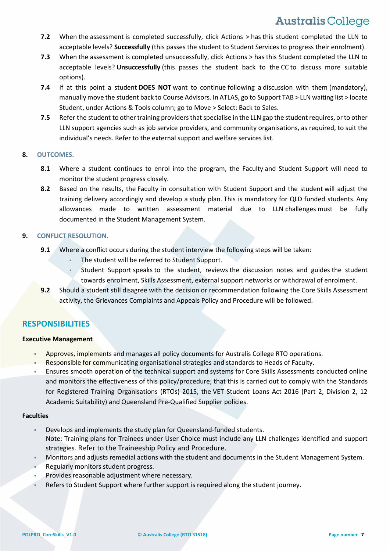- **7.2** When the assessment is completed successfully, click Actions > has this student completed the LLN to acceptable levels? **Successfully** (this passes the student to Student Services to progress their enrolment).
- **7.3** When the assessment is completed unsuccessfully, click Actions > has this Student completed the LLN to acceptable levels? **Unsuccessfully** (this passes the student back to the CC to discuss more suitable options).
- **7.4** If at this point a student **DOES NOT** want to continue following a discussion with them (mandatory), manually move the student back to Course Advisors. In ATLAS, go to Support TAB > LLN waiting list > locate Student, under Actions & Tools column; go to Move > Select: Back to Sales.
- **7.5** Refer the student to other training providers that specialise in the LLN gap the student requires, or to other LLN support agencies such as job service providers, and community organisations, as required, to suit the individual's needs. Refer to the external support and welfare services list.

#### **8. OUTCOMES.**

- **8.1** Where a student continues to enrol into the program, the Faculty and Student Support will need to monitor the student progress closely.
- **8.2** Based on the results, the Faculty in consultation with Student Support and the student will adjust the training delivery accordingly and develop a study plan. This is mandatory for QLD funded students. Any allowances made to written assessment material due to LLN challenges must be fully documented in the Student Management System.

#### **9. CONFLICT RESOLUTION.**

- **9.1** Where a conflict occurs during the student interview the following steps will be taken:
	- The student will be referred to Student Support.
	- Student Support speaks to the student, reviews the discussion notes and guides the student towards enrolment, Skills Assessment, external support networks or withdrawal of enrolment.
- **9.2** Should a student still disagree with the decision or recommendation following the Core Skills Assessment activity, the Grievances Complaints and Appeals Policy and Procedure will be followed.

### **RESPONSIBILITIES**

#### **Executive Management**

- Approves, implements and manages all policy documents for Australis College RTO operations.
- Responsible for communicating organisational strategies and standards to Heads of Faculty.
- Ensures smooth operation of the technical support and systems for Core Skills Assessments conducted online and monitors the effectiveness of this policy/procedure; that this is carried out to comply with the Standards for Registered Training Organisations (RTOs) 2015, the VET Student Loans Act 2016 (Part 2, Division 2, 12 Academic Suitability) and Queensland Pre-Qualified Supplier policies.

#### **Faculties**

- Develops and implements the study plan for Queensland-funded students. Note: Training plans for Trainees under User Choice must include any LLN challenges identified and support strategies. Refer to the Traineeship Policy and Procedure.
- Monitors and adjusts remedial actions with the student and documents in the Student Management System.
- Regularly monitors student progress.
- Provides reasonable adjustment where necessary.
- Refers to Student Support where further support is required along the student journey.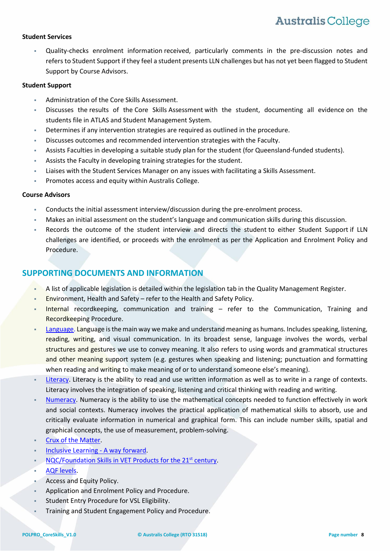#### **Student Services**

 Quality-checks enrolment information received, particularly comments in the pre-discussion notes and refers to Student Support if they feel a student presents LLN challenges but has not yet been flagged to Student Support by Course Advisors.

#### **Student Support**

- Administration of the Core Skills Assessment.
- Discusses the results of the Core Skills Assessment with the student, documenting all evidence on the students file in ATLAS and Student Management System.
- Determines if any intervention strategies are required as outlined in the procedure.
- Discusses outcomes and recommended intervention strategies with the Faculty.
- Assists Faculties in developing a suitable study plan for the student (for Queensland-funded students).
- Assists the Faculty in developing training strategies for the student.
- Liaises with the Student Services Manager on any issues with facilitating a Skills Assessment.
- Promotes access and equity within Australis College.

#### **Course Advisors**

- Conducts the initial assessment interview/discussion during the pre-enrolment process.
- Makes an initial assessment on the student's language and communication skills during this discussion.
- Records the outcome of the student interview and directs the student to either Student Support if LLN challenges are identified, or proceeds with the enrolment as per the Application and Enrolment Policy and Procedure.

### **SUPPORTING DOCUMENTS AND INFORMATION**

- A list of applicable legislation is detailed within the legislation tab in the Quality Management Register.
- Environment, Health and Safety refer to the Health and Safety Policy.
- Internal recordkeeping, communication and training refer to the Communication, Training and Recordkeeping Procedure.
- [Language.](http://www.training.gov.au/resources/information/pdf/crux-matter-june-2011.pdf) Language is the main way we make and understand meaning as humans. Includes speaking, listening, reading, writing, and visual communication. In its broadest sense, language involves the words, verbal structures and gestures we use to convey meaning. It also refers to using words and grammatical structures and other meaning support system (e.g. gestures when speaking and listening; punctuation and formatting when reading and writing to make meaning of or to understand someone else's meaning).
- [Literacy.](http://www.training.gov.au/resources/information/pdf/crux-matter-june-2011.pdf) Literacy is the ability to read and use written information as well as to write in a range of contexts. Literacy involves the integration of speaking, listening and critical thinking with reading and writing.
- [Numeracy.](http://www.training.gov.au/resources/information/pdf/crux-matter-june-2011.pdf) Numeracy is the ability to use the mathematical concepts needed to function effectively in work and social contexts. Numeracy involves the practical application of mathematical skills to absorb, use and critically evaluate information in numerical and graphical form. This can include number skills, spatial and graphical concepts, the use of measurement, problem-solving.
- Crux [of the Matter.](http://training.qld.gov.au/resources/information/pdf/crux-matter-june-2011.pdf)
- [Inclusive Learning](https://training.qld.gov.au/site/providers/Documents/inclusive/framework/inclusive-learning-framework-strategy.pdf) A way forward.
- [NQC/Foundation Skills in VET](http://www.acal.edu.au/publications/documents/Foundation_Skills_in_VET_Products_for_the_21st_Century.pdf) Products for the 21st century.
- [AQF levels.](http://www.aqf.edu.au/aqf/in-detail/aqf-levels/)
- Access and Equity Policy.
- Application and Enrolment Policy and Procedure.
- Student Entry Procedure for VSL Eligibility.
- Training and Student Engagement Policy and Procedure.